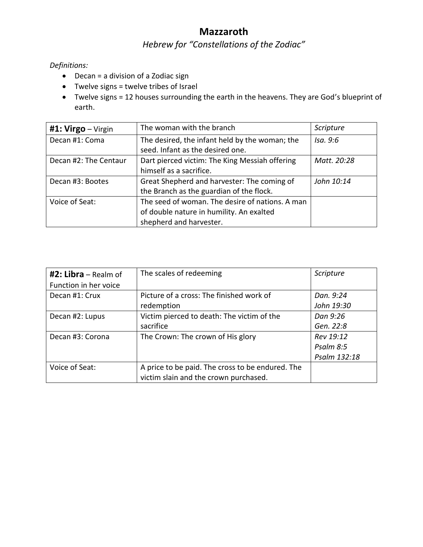## **Mazzaroth**

## *Hebrew for "Constellations of the Zodiac"*

*Definitions:*

- Decan = a division of a Zodiac sign
- Twelve signs = twelve tribes of Israel
- Twelve signs = 12 houses surrounding the earth in the heavens. They are God's blueprint of earth.

| #1: $Virgo - Virgin$  | The woman with the branch                       | Scripture   |
|-----------------------|-------------------------------------------------|-------------|
| Decan #1: Coma        | The desired, the infant held by the woman; the  | Isa. 9:6    |
|                       | seed. Infant as the desired one.                |             |
| Decan #2: The Centaur | Dart pierced victim: The King Messiah offering  | Matt. 20:28 |
|                       | himself as a sacrifice.                         |             |
| Decan #3: Bootes      | Great Shepherd and harvester: The coming of     | John 10:14  |
|                       | the Branch as the guardian of the flock.        |             |
| Voice of Seat:        | The seed of woman. The desire of nations. A man |             |
|                       | of double nature in humility. An exalted        |             |
|                       | shepherd and harvester.                         |             |

| $#2: Libra - Realm of$ | The scales of redeeming                          | Scripture    |
|------------------------|--------------------------------------------------|--------------|
| Function in her voice  |                                                  |              |
| Decan #1: Crux         | Picture of a cross: The finished work of         | Dan. 9:24    |
|                        | redemption                                       | John 19:30   |
| Decan #2: Lupus        | Victim pierced to death: The victim of the       | Dan 9:26     |
|                        | sacrifice                                        | Gen. 22:8    |
| Decan #3: Corona       | The Crown: The crown of His glory                | Rev 19:12    |
|                        |                                                  | Psalm 8:5    |
|                        |                                                  | Psalm 132:18 |
| Voice of Seat:         | A price to be paid. The cross to be endured. The |              |
|                        | victim slain and the crown purchased.            |              |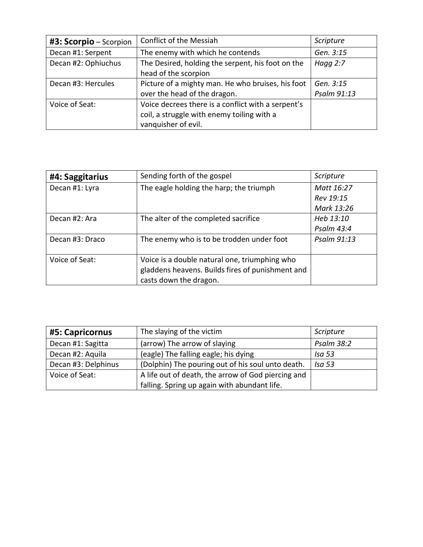| #3: Scorpio - Scorpion | Conflict of the Messiah                            | Scripture   |
|------------------------|----------------------------------------------------|-------------|
| Decan #1: Serpent      | The enemy with which he contends                   | Gen. 3:15   |
| Decan #2: Ophiuchus    | The Desired, holding the serpent, his foot on the  | Hagg $2:7$  |
|                        | head of the scorpion                               |             |
| Decan #3: Hercules     | Picture of a mighty man. He who bruises, his foot  | Gen. 3:15   |
|                        | over the head of the dragon.                       | Psalm 91:13 |
| Voice of Seat:         | Voice decrees there is a conflict with a serpent's |             |
|                        | coil, a struggle with enemy toiling with a         |             |
|                        | vanquisher of evil.                                |             |

| #4: Saggitarius | Sending forth of the gospel                      | <b>Scripture</b> |
|-----------------|--------------------------------------------------|------------------|
| Decan #1: Lyra  | The eagle holding the harp; the triumph          | Matt 16:27       |
|                 |                                                  | Rev 19:15        |
|                 |                                                  | Mark 13:26       |
| Decan #2: Ara   | The alter of the completed sacrifice             | Heb 13:10        |
|                 |                                                  | Psalm 43:4       |
| Decan #3: Draco | The enemy who is to be trodden under foot        | Psalm 91:13      |
|                 |                                                  |                  |
| Voice of Seat:  | Voice is a double natural one, triumphing who    |                  |
|                 | gladdens heavens. Builds fires of punishment and |                  |
|                 | casts down the dragon.                           |                  |

| #5: Capricornus     | The slaying of the victim                          | Scripture         |
|---------------------|----------------------------------------------------|-------------------|
| Decan #1: Sagitta   | (arrow) The arrow of slaying                       | Psalm 38:2        |
| Decan #2: Aquila    | (eagle) The falling eagle; his dying               | <b>Isa 53</b>     |
| Decan #3: Delphinus | (Dolphin) The pouring out of his soul unto death.  | Isa <sub>53</sub> |
| Voice of Seat:      | A life out of death, the arrow of God piercing and |                   |
|                     | falling. Spring up again with abundant life.       |                   |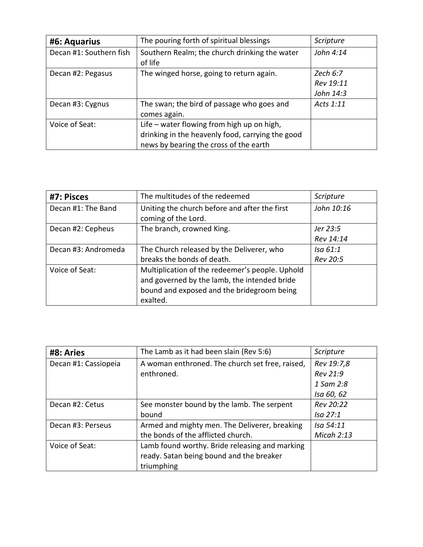| #6: Aquarius            | The pouring forth of spiritual blessings         | Scripture |
|-------------------------|--------------------------------------------------|-----------|
| Decan #1: Southern fish | Southern Realm; the church drinking the water    | John 4:14 |
|                         | of life                                          |           |
| Decan #2: Pegasus       | The winged horse, going to return again.         | Zech 6:7  |
|                         |                                                  | Rev 19:11 |
|                         |                                                  | John 14:3 |
| Decan #3: Cygnus        | The swan; the bird of passage who goes and       | Acts 1:11 |
|                         | comes again.                                     |           |
| Voice of Seat:          | Life – water flowing from high up on high,       |           |
|                         | drinking in the heavenly food, carrying the good |           |
|                         | news by bearing the cross of the earth           |           |

| #7: Pisces          | The multitudes of the redeemed                                                                  | Scripture  |
|---------------------|-------------------------------------------------------------------------------------------------|------------|
| Decan #1: The Band  | Uniting the church before and after the first<br>coming of the Lord.                            | John 10:16 |
| Decan #2: Cepheus   | The branch, crowned King.                                                                       | Jer 23:5   |
|                     |                                                                                                 | Rev 14:14  |
| Decan #3: Andromeda | The Church released by the Deliverer, who                                                       | Isa 61:1   |
|                     | breaks the bonds of death.                                                                      | Rev 20:5   |
| Voice of Seat:      | Multiplication of the redeemer's people. Uphold<br>and governed by the lamb, the intended bride |            |
|                     | bound and exposed and the bridegroom being<br>exalted.                                          |            |

| #8: Aries            | The Lamb as it had been slain (Rev 5:6)         | Scripture  |
|----------------------|-------------------------------------------------|------------|
| Decan #1: Cassiopeia | A woman enthroned. The church set free, raised, | Rev 19:7,8 |
|                      | enthroned.                                      | Rev 21:9   |
|                      |                                                 | 1 Sam 2:8  |
|                      |                                                 | Isa 60, 62 |
| Decan #2: Cetus      | See monster bound by the lamb. The serpent      | Rev 20:22  |
|                      | bound                                           | Isa 27:1   |
| Decan #3: Perseus    | Armed and mighty men. The Deliverer, breaking   | Isa 54:11  |
|                      | the bonds of the afflicted church.              | Micah 2:13 |
| Voice of Seat:       | Lamb found worthy. Bride releasing and marking  |            |
|                      | ready. Satan being bound and the breaker        |            |
|                      | triumphing                                      |            |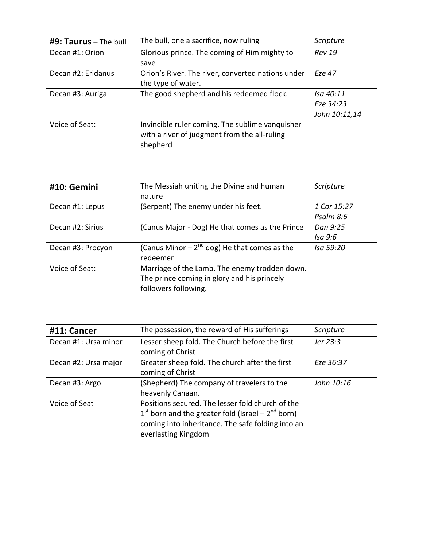| #9: Taurus - The bull | The bull, one a sacrifice, now ruling             | Scripture     |
|-----------------------|---------------------------------------------------|---------------|
| Decan #1: Orion       | Glorious prince. The coming of Him mighty to      | <b>Rev 19</b> |
|                       | save                                              |               |
| Decan #2: Eridanus    | Orion's River. The river, converted nations under | Fze 47        |
|                       | the type of water.                                |               |
| Decan #3: Auriga      | The good shepherd and his redeemed flock.         | Isa 40:11     |
|                       |                                                   | Eze 34:23     |
|                       |                                                   | John 10:11,14 |
| Voice of Seat:        | Invincible ruler coming. The sublime vanquisher   |               |
|                       | with a river of judgment from the all-ruling      |               |
|                       | shepherd                                          |               |

| #10: Gemini       | The Messiah uniting the Divine and human         | Scripture   |
|-------------------|--------------------------------------------------|-------------|
|                   | nature                                           |             |
| Decan #1: Lepus   | (Serpent) The enemy under his feet.              | 1 Cor 15:27 |
|                   |                                                  | Psalm 8:6   |
| Decan #2: Sirius  | (Canus Major - Dog) He that comes as the Prince  | Dan 9:25    |
|                   |                                                  | Isa 9:6     |
| Decan #3: Procyon | (Canus Minor $-2^{nd}$ dog) He that comes as the | Isa 59:20   |
|                   | redeemer                                         |             |
| Voice of Seat:    | Marriage of the Lamb. The enemy trodden down.    |             |
|                   | The prince coming in glory and his princely      |             |
|                   | followers following.                             |             |

| #11: Cancer          | The possession, the reward of His sufferings                                                                                                                                          | Scripture  |
|----------------------|---------------------------------------------------------------------------------------------------------------------------------------------------------------------------------------|------------|
| Decan #1: Ursa minor | Lesser sheep fold. The Church before the first<br>coming of Christ                                                                                                                    | Jer 23:3   |
| Decan #2: Ursa major | Greater sheep fold. The church after the first<br>coming of Christ                                                                                                                    | Eze 36:37  |
| Decan #3: Argo       | (Shepherd) The company of travelers to the<br>heavenly Canaan.                                                                                                                        | John 10:16 |
| Voice of Seat        | Positions secured. The lesser fold church of the<br>$1st$ born and the greater fold (Israel – $2nd$ born)<br>coming into inheritance. The safe folding into an<br>everlasting Kingdom |            |